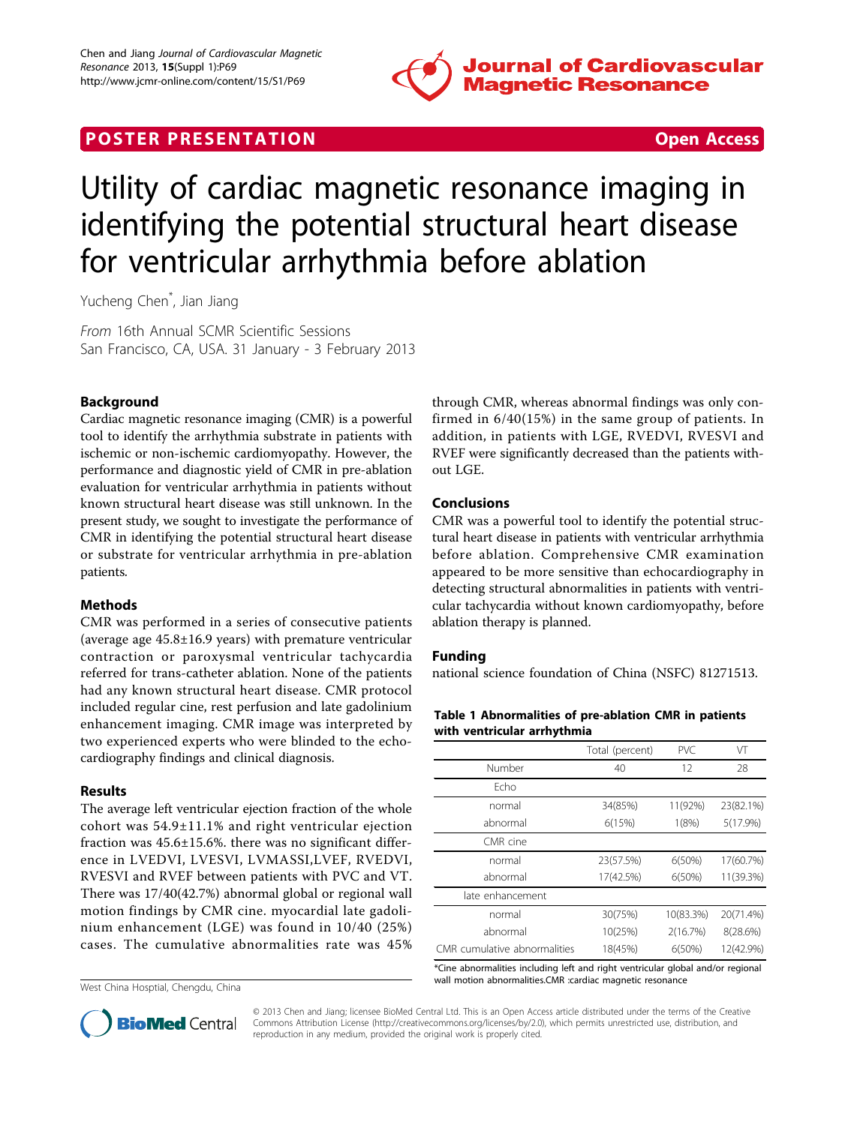

# **POSTER PRESENTATION CONSUMING THE SECOND CONSUMING THE SECOND CONSUMING THE SECOND CONSUMING THE SECOND CONSUMING THE SECOND CONSUMING THE SECOND CONSUMING THE SECOND CONSUMING THE SECOND CONSUMING THE SECOND CONSUMING**



# Utility of cardiac magnetic resonance imaging in identifying the potential structural heart disease for ventricular arrhythmia before ablation

Yucheng Chen\* , Jian Jiang

From 16th Annual SCMR Scientific Sessions San Francisco, CA, USA. 31 January - 3 February 2013

## Background

Cardiac magnetic resonance imaging (CMR) is a powerful tool to identify the arrhythmia substrate in patients with ischemic or non-ischemic cardiomyopathy. However, the performance and diagnostic yield of CMR in pre-ablation evaluation for ventricular arrhythmia in patients without known structural heart disease was still unknown. In the present study, we sought to investigate the performance of CMR in identifying the potential structural heart disease or substrate for ventricular arrhythmia in pre-ablation patients.

## **Methods**

CMR was performed in a series of consecutive patients (average age 45.8±16.9 years) with premature ventricular contraction or paroxysmal ventricular tachycardia referred for trans-catheter ablation. None of the patients had any known structural heart disease. CMR protocol included regular cine, rest perfusion and late gadolinium enhancement imaging. CMR image was interpreted by two experienced experts who were blinded to the echocardiography findings and clinical diagnosis.

#### Results

The average left ventricular ejection fraction of the whole cohort was 54.9±11.1% and right ventricular ejection fraction was 45.6±15.6%. there was no significant difference in LVEDVI, LVESVI, LVMASSI,LVEF, RVEDVI, RVESVI and RVEF between patients with PVC and VT. There was 17/40(42.7%) abnormal global or regional wall motion findings by CMR cine. myocardial late gadolinium enhancement (LGE) was found in 10/40 (25%) cases. The cumulative abnormalities rate was 45%

West China Hosptial, Chengdu, China

through CMR, whereas abnormal findings was only confirmed in 6/40(15%) in the same group of patients. In addition, in patients with LGE, RVEDVI, RVESVI and RVEF were significantly decreased than the patients without LGE.

#### Conclusions

CMR was a powerful tool to identify the potential structural heart disease in patients with ventricular arrhythmia before ablation. Comprehensive CMR examination appeared to be more sensitive than echocardiography in detecting structural abnormalities in patients with ventricular tachycardia without known cardiomyopathy, before ablation therapy is planned.

#### Funding

national science foundation of China (NSFC) 81271513.

| Table 1 Abnormalities of pre-ablation CMR in patients |
|-------------------------------------------------------|
| with ventricular arrhythmia                           |

|                              | Total (percent) | PVC.      | VT        |
|------------------------------|-----------------|-----------|-----------|
| Number                       | 40              | 12        | 28        |
| Fcho                         |                 |           |           |
| normal                       | 34(85%)         | 11(92%)   | 23(82.1%) |
| abnormal                     | 6(15%)          | 1(8%)     | 5(17.9%)  |
| CMR cine                     |                 |           |           |
| normal                       | 23(57.5%)       | 6(50%)    | 17(60.7%) |
| abnormal                     | 17(42.5%)       | 6(50%)    | 11(39.3%) |
| late enhancement             |                 |           |           |
| normal                       | 30(75%)         | 10(83.3%) | 20(71.4%) |
| abnormal                     | 10(25%)         | 2(16.7%)  | 8(28.6%)  |
| CMR cumulative abnormalities | 18(45%)         | 6(50%)    | 12(42.9%) |

\*Cine abnormalities including left and right ventricular global and/or regional wall motion abnormalities.CMR :cardiac magnetic resonance



© 2013 Chen and Jiang; licensee BioMed Central Ltd. This is an Open Access article distributed under the terms of the Creative Commons Attribution License [\(http://creativecommons.org/licenses/by/2.0](http://creativecommons.org/licenses/by/2.0)), which permits unrestricted use, distribution, and reproduction in any medium, provided the original work is properly cited.